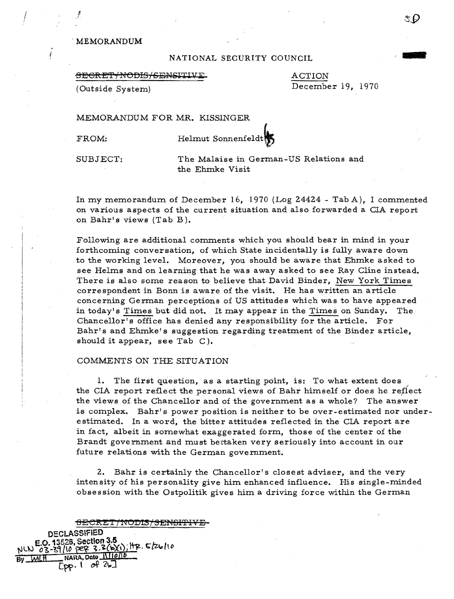## . MEMORANDUM

!

## NATIONAL SECURITY COUNCIL

#### SEGRET/NODIS/SENSITIVE

ACTION December 19,1970

(Outside System)

## MEMORANDUM FOR MR. KISSINGER

FROM: Helmut Sonnenfeldt

SUBJECT: The Malaise in German-US Relations and the Ehmke Visit

In my memorandurn of December 16, 1970 (Log 24424 - Tab A), I commented on various aspects of the current situation and also forwarded a CIA report on Bahr's views (Tab B).

Following are additional comments which you should bear in mind in your forthcoming conversation, of which State incidentally is fully aware down to the working level. Moreover, you should be aware that Ehmke asked to see Helms and on learning that he was away asked to see Ray Cline instead. There is also some reason to believe that David Binder, New York Times correspondent in Bonn is aware of the visit. He has written an article concerning German perceptions of US attitudes which was to have appeared in today's Times but did not. It may appear in the Times on Sunday. The Chancellor's office has denied any responsibility for the article. For Bahr's and Ehmke's suggestion regarding treatment of the Binder article, should it appear, see Tab C).

## COMMENTS ON THE SITUATION

1. The first question, as a starting point, is: To what extent does the CIA report reflect the personal views of Bahr himself or does he reflect the views of the Chancellor and of the government as a whole? The answer is complex. Bahr's power position is neither to be over-estimated nor underestimated. In a word, the bitter attitudes reflected in the CIA report are in fact, albeit in somewhat exaggerated form, those of the center of the Brandt government and must bettaken very seriously into account in our future relations with the German government.

2. Bahr is certainly the Chancellor's closest adviser, and the very intensity of his personality give him enhanced influence. His single-minded obsession with the Ostpolitik gives him a driving force within the German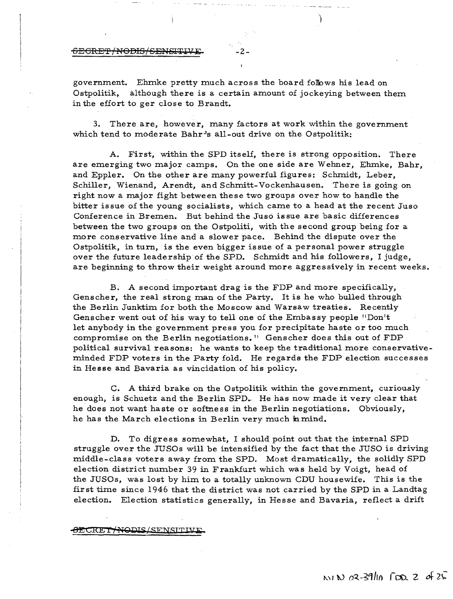<del>SECRET/NODIS/SENSITI</del>

government. Ehmke pretty much across the board follows his lead on Ostpolitik, although there is a certain amount of jockeying between them in the effort to ger close to Brandt.

)

3. There are, however, many factors at work within the government which tend to moderate  $Bahr's$  all-out drive on the Ostpolitik:

A. First, within the SPD itself, there is strong opposition. There are emerging two major camps. On the one side are Wehner, Ehmke, Bahr, and Eppler. On the other are many powerful figures: Schmidt, Leber, Schiller, Wienand, Arendt, and Schmitt-Vockenhausen. There is going on right now a major fight between these two groups over how to handle the bitter issue of the young socialists, which came to a head at the recent Juso Conference in Bremen. But behind the Juso issue are basic differences between the two groups on the Ostpoliti, with the second group being for a more conservative line and a slower pace. Behind the dispute over the Ostpolitik, in turn, is the even bigger issue of a personal power struggle over the future leadership of the SPD. Schmidt and his followers, I judge, are beginning to throw their weight around more aggressively in recent weeks.

B. A second important drag is the FDP and more specifically, Genscher, the real strong man of the Party. It is he who bulled through the Berlin Junktim for both the Moscow and Warsaw treaties. Recently Genscher went out of his way to tell one of the Embassy people "Don't let anybody in the government press you for precipitate haste or too much compromise on the Berlin negotiations. II Genscher does this out of FDP political survival reasons: he wants to keep the traditional more conservativeminded FDP voters in the Party fold. He regards the FDP election successes in Hesse and Bavaria as vincidation of his policy.

C. A third brake on the Ostpolitik within the government, curiously enough, is Schuetz and the Berlin SPD. He has now made it very clear that he does not want haste or softness in the Berlin negotiations. Obviously, he has the March elections in Berlin very much in mind.

D. To digress somewhat, I should point out that the internal SPD struggle over the JUSOs will be intensified by the fact that the JUSO is driving middle-class voters away from the SPD. Most dramatically, the solidly SPD election district number 39 in Frankfurt which was held by Voigt, head of the JUSOs, was lost by him to a totally unknown CDU housewife, This is the first time since 1946 that the district was not carried by the SPD in a Landtag election. Election statistics generally, in Hesse and Bavaria, reflect a drift

## **SECRET/NODIS/SENSITIV**

 $N/N$   $(2.39)$   $(0.28)$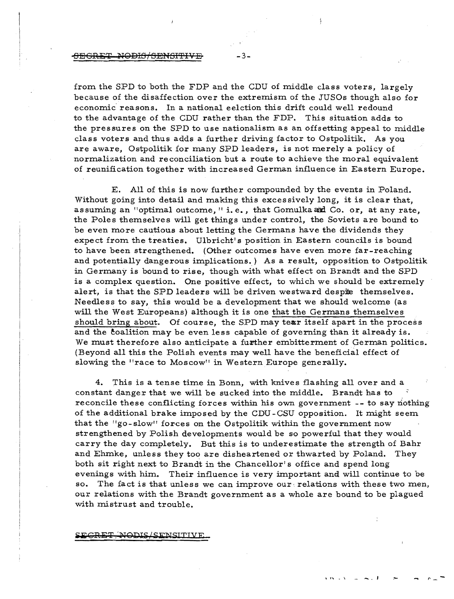## -3:<del>8EGRET NODIS/SENSITIVE</del>

from the SPD to both the FDP and the CDU of middle class voters, largely because of the disaffection over the extremism of the JUSOs though also for economic reasons. In a national eelction this drift could well redound to the advantage of the CDU rather than the FDP. This situation adds to the pressures on the SPD to use nationalism as an offsetting appeal to middle class voters and thus adds a further driving factor to Ostpolitik. As you are aware, Ostpolitik for many SPD leaders, is not merely a policy of normalization and reconciliation but a route to achieve the moral equivalent of reunification together with increased German influence in Eastern Europe.

E. All of this is now further compounded by the events in Poland. Without going into detail and making this excessively long, it is clear that, assuming an "optimal outcome," i.e., that Gomulka and Co. or, at any rate, the Poles themselves will get things under control, the Soviets are bound to be even more cautious about letting the Germans have the dividends they expect from the treaties. Ulbricht's position in Eastern councils is bound to have been strengthened. (Other outcomes have even more far-reaching and potentially dangerous implications.) As a result, opposition to Ostpolitik in Germany is bound to rise, though with what effect on Brandt and the SPD is a complex question. One positive effect, to which we should be extremely alert, is that the SPD leaders will be driven westward despite themselves. Needless to say, this would be a development that we should welcome (as will the West Europeans) although it is one that the Germans themselves should bring about. Of course, the SPD may tear itself apart in the process and the coalition may be even less capable of governing than it already is. We must therefore also anticipate a further embitterment of German politics. (Beyond all this the Polish events may well have the beneficial effect of slowing the "race to Moscow" in Western Europe generally.

4. This is a tense time in Bonn, with knives flashing all over and a constant danger that we will be sucked into the middle. Brandt has to' reconcile these conflicting forces within his own government -- to say nothing of the additional brake imposed by the CDU -CSU opposition. It might seem that the "go-slow" forces on the Ostpolitik within the government now strengthened by Polish developments would be so powerful that they would carry the day completely. But this is to underestimate the strength of Bahr and Ehmke, unless they too are disheartened or thwarted by Poland. They both sit right next to Brandt in the Chancellor's office and spend long evenings with him. Their influence is very important and will continue to be so. The fact is that unless we can improve our relations with these two men, our relations with the Brandt government as a whole are bound to be plagued with mistrust and trouble.

#### <del>NODIS/SENSITIVE</del>

**" ... ,** . \ - -. ~ , ,... r"\_ -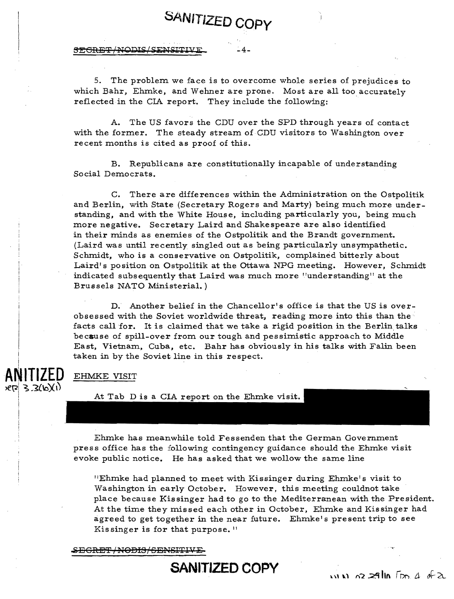**SEGRET/NODIS/SENSITIVE** 

5. The problem we face is to overcome whole series of prejudices to which Bahr, Ehmke, and Wehner are prone. Most are all too accurately reflected in the CIA report. They include the following:

**SANITIZED Copy** 

A. The US favors the CDU over the SPD through years of contact with the former. The steady stream of CDU visitors to Washington over recent months is cited as proof of this.

B. Republicans are constitutionally incapable of understanding Social Democrats.

C. There are differences within the Administration on the Ostpolitik and Berlin, with State (Secretary Rogers and Marty) being much more understanding, and with the White House, including particularly you, being much more negative. Secretary Laird and Shakespeare are also identified in their minds as enemies of the Ostpolitik and the Brandt government. (Laird was until recently singled out as being particularly unsympathetic. Schmidt, who is a conservative on Ostpolitik, complained bitterly about Laird's position on Ostpolitik at the Ottawa NPG meeting. However, Schmidt indicated subsequently that Laird was much more "understanding" at the Brussels NATO Ministerial. )

D. Another belief in the Chancellor's office is that the US is overobsessed with the Soviet worldwide threat, reading more into this than the" facts call for. It is claimed that we take a rigid position in the Berlin talks because of spill-over from our tough and pessimistic approach to Middle East, Vietnam, Cuba, etc. Bahr has obviously in his talks with Falin been taken in by the Soviet line in this respect. .

ANITIZED.  $R2 3.3(b)(1)$ 

## EHMKE VISIT

At Tab D is a CIA report on the Ehmke visit.

Ehmke has meanwhile told Fessenden that the German Government press office has the following contingency guidance should the Ehmke visit evoke public notice. He has asked that we wollow the same line

"Ehmke had planned to meet with Kissinger during Ehmke's visit to Washington in early October. However, this meeting couldnot take place because Kissinger had to go to the Mediterranean with the President. At the time they missed each other in October, Ehmke and Kissinger had agreed to get together in the near future. Ehmke's present trip to see Kissinger is for that purpose.  $\mathbb{I}$ 

SECRET/NODIS/SENSITIVE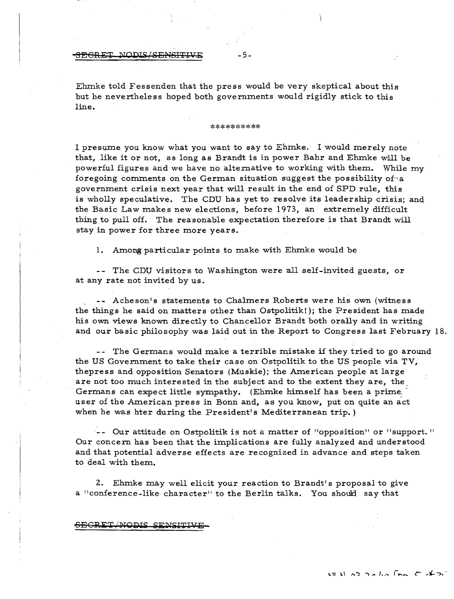## <u>BEGRET NODIS/SENSITIVE</u> - 5 -

Ehmke told Fessenden that the press would be very skeptical about this but he nevertheless hoped both governments would rigidly stick to this line.

#### \*\*\*\*\*\*\*\*\*\*

I presume you know what you want to say to Ehmke. I would merely note that, like it or not, as long as Brandt is in power Bahr and Ehmke will be powerful figures and we have no alternative to working with them. While my foregoing comments on the German situation suggest the possibility of a government crisis next year that will result in the end of SPD rule, this is wholly speculative. The CDU has yet to resolve its leadership crisis; and the Basic Law makes new elections, before 1973, an extremely difficult thing to pull off. The reasonable expectation therefore is that Brandt will stay in power for three more years.

1. Among particular points to make with Ehmke would be

-- The CDU visitors to Washington were all self-invited guests, or at any rate not invited by us.

-- Acheson's statements to Chalmers Roberts were his own (witness the things he said on matters other than Ostpolitik!); the President has made his own views known directly to Chancellor Brandt both orally and in writing and our basic philosophy was laid out in the Report to Congress last February 18.

-- The Germans would make a terrible mistake if they tried to go around the US Government to take their case on Ostpolitik to the US people via TV, thepress and opposition Senators (Muskie); the American people at large are not too much interested in the subject and to the extent they are, the . Germans can expect little sympathy. (Ehmke himself has been a prime. user of the American press in Bonn and, as you know, put on quite an act when he was hter during the President's Mediterranean trip.)

-- Our attitude on Ostpolitik is not a matter of "opposition" or "support." Our concern has been that the implications are fully analyzed and understood and that potential adverse effects are recognized in advance and steps taken to deal with them.

2. Ehmke may well elicit your reaction to Brandt's proposal to give a "conference-like character" to the Berlin talks. You should say that

#### <del>SECRET NODIS SENSITIVI</del>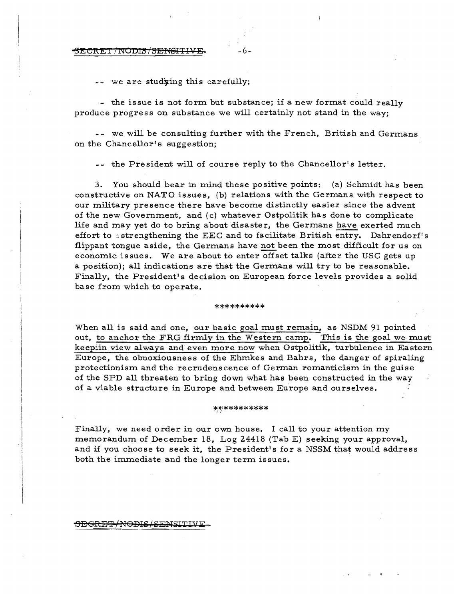#### $\overline{\text{BECRET/MODIS}/\text{SENSET}}$

we are studying this carefully;

 $\sim$  the issue is not form but substance; if a new format could really produce progress on substance we will certainly not stand in the way;

-- we will be consulting further with the French, British and Germans on the Chancellor's suggestion;

-- the President will of course reply to the Chancellor's letter.

3. You should bear in mind these positive points: (a) Schmidt has been constructive on NATO issues, (b) relations with the Germans with respect to our military presence there have become distinctly easier since the advent of the new Government, and (c) whatever Ostpolitik has done to complicate life and may yet do to bring about disaster, the Germans have exerted much effort to sstrengthening the EEC and to facilitate British entry. Dahrendorf's flippant tongue aside, the Germans have not been the most difficult for us on economic issues. We are about to enter offset talks (after the USC gets up a position); all indications are that the Germans will try to be reasonable. Finally, the President's decision on European force levels provides a solid base from which to operate.

#### \*\*\*\*\*\*\*\*\*

When all is said and one, our basic goal must remain, as NSDM 91 pointed out, to anchor the FRG firmly in the Western camp. This is the goal we must keepiin view always and even more now when Ostpolitik, turbulence in Eastern Europe, the obnoxiousness of the Ehmkes and Bahrs, the danger of spiraling protectionism and the recrudenscence of German romanticism in the guise of the SPDall threaten to bring down what has been constructed in the way of a viable structure in Europe and between Europe and ourselves.

#### \*\*\*\*\*\*\*\*\*\*\*

Finally, we need order in our own house. I call to your attention my memorandum of December 18, Log 24418 (Tab E) seeking your approval, and if you choose to seek it, the President's for a NSSM that would address both the immediate and the longer term issues.

#### SEGRET/NODIS/SENSITIVE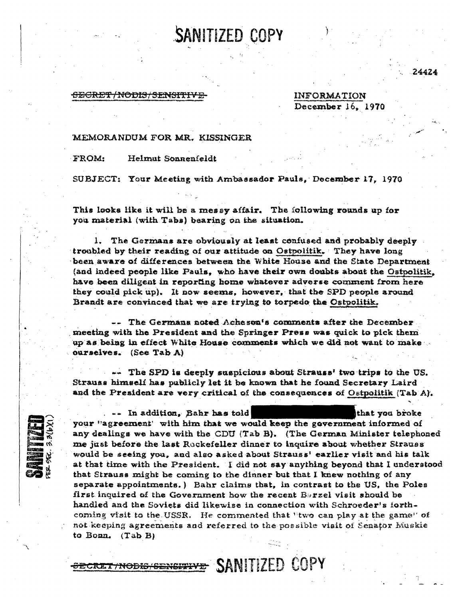<del>GECRET/NODIS/SENSITF</del>

**INFORMATION** December 16, 1970 24424

## MEMORANDUM FOR MR. KISSINGER

FROM: Helmut Sonnenfeldt

SUBJECT: Your Meeting with Ambassador Pauls, December 17, 1970

SANITIZED COPY

This looks like it will be a messy affair. The following rounds up for you material (with Tabs) bearing on the situation.

1. The Germans are obviously at least confused and probably deeply troubled by their reading of our attitude on Ostpolitik. They have long been aware of differences between the White House and the State Department (and indeed people like Pauls, who have their own doubts about the Ostpolitik, have been diligent in reporting home whatever adverse comment from here they could pick up). It now seems, however, that the SPD people around Brandt are convinced that we are trying to torpedo the Ostpolitik.

-- The Germans noted Acheson's comments after the December. meeting with the President and the Springer Press was quick to pick them up as being in effect White House comments which we did not want to make ourselves. (See Tab A)

-- The SPD is deeply suspicious about Strauss' two trips to the US. Strauss himself has publicly let it be known that he found Secretary Laird and the President are very critical of the consequences of Ostpolitik (Tab A).

-- In addition, Bahr has told that you broke your "agreement' with him that we would keep the government informed of any dealings we have with the CDU (Tab B). (The German Minister telephoned me just before the last Rockefeller dinner to inquire about whether Strauss would be seeing you, and also asked about Strauss' earlier visit and his talk at that time with the President. I did not say anything beyond that I understood that Strauss might be coming to the dinner but that I knew nothing of any separate appointments.) Bahr claims that, in contrast to the US, the Poles first inquired of the Government how the recent Borzel visit should be handled and the Soviets did likewise in connection with Schroeder's forthcoming visit to the USSR. He commented that "two can play at the game" of not keeping agreements and referred to the possible visit of Senator Muskie to Bonn. (Tab B)

SECRET/NODIS/SENSITIVE SANITIZED COPY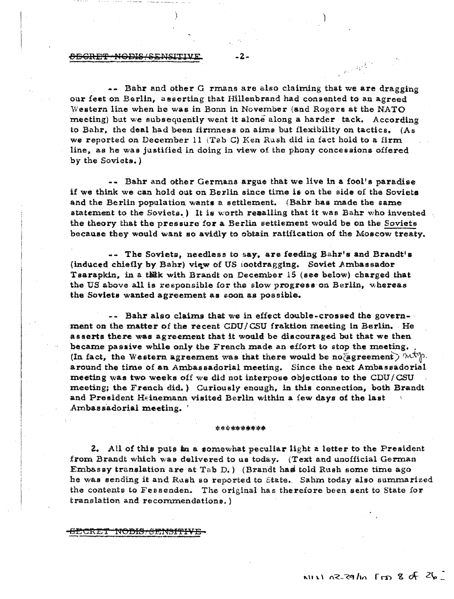## .eiSGRE'f'tiOD1S/e6N~ITIV:S: , **..** ',l. ';.

 $\sim$  Bahr and other G rmans are also claiming that we are dragging our feet on Berlin, asserting that Hillenbrand had consented to an agreed Western line when he was in Bonn in November (and Rogers at the NATO meeting) but we subsequently went it alone along a harder tack. According to Bahr, the deal had been firmness on aims but flexibility on tactics. (As we reported on December 11 (Tab C) Ken Rush did in fact hold to a firm line, as he was justified in doing in view of the phony concessions offered by the Soviets. )

 $\sim$   $\alpha^2$ 

-- Bahr and other Germans argue that we live in a fool's paradise if we think we can hold out on Berlin since time is on the side of the Soviets. and the Berlin population wants a settlement. (Bahr has made the same statement to the Soviets.) It is worth resalling that it was Bahr who invented. the theory that the pressure for a Berlin settlement would be on the Soviets because they would want so avidly to obtain ratification of the Moscow treaty.

-- The Soviets, needless to say, are feeding Bahr's and Brandt's (induced chiefly by Bahr) view of US tootdragging. Soviet Ambassador Tsarapkin, in a tikk with Brandt on December 15 (see below) charged that the US above all is responsible for the slow progress on Berlin, whereas the Soviets wanted agreement as soon as possible.

 $--$  Bahr also claims that we in effect double-crossed the government on the matter of the recent CDU/CSU fraktion meeting in Berlin. He asserts there was agreement that it would be discouraged but that we then became passive while only the French made an effort to stop the meeting. (In fact, the Western agreement was that there would be no/agreement)  $\mathcal{M}^{\text{th}}$ . around the time of an Ambassadorial meeting. Since the next Ambassadorial meeting was two weeks off we did not interpose objections to the CDU/CSU meeting; the French did.) Curiously enough, in this connection, both Brandt and President Heinemann visited Berlin within a few days of the last Ambassadorial meeting.

#### \*\*\*\*\*\*\*\*

2. All of this puts  $\ln a$  somewhat peculiar light a letter to the President from Brandt which was delivered to us today. (Text and unofficial German Embassy translation are at Tab D.) (Brandt has told Rush some time ago he was sending it and Rush so reported to State. Sahm today also summarized the contents to Fessenden. The original has therefore been sent to State for translation and recommendations.)

<del>.CREI NODIS/SENSITIVE</del>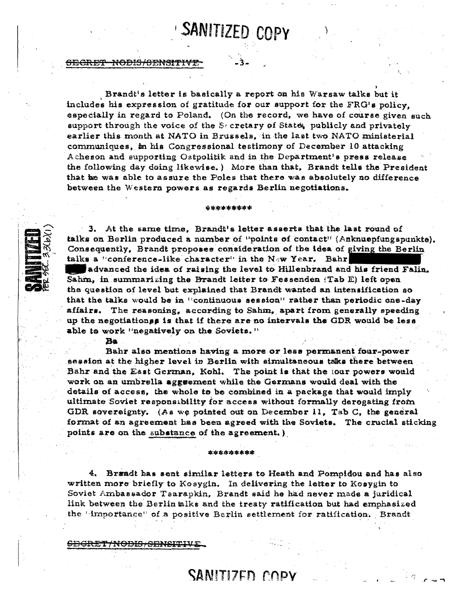# SANITIZED COPY

### <del>SECRET NODIS/SENSITIVE</del>

Brandt's letter is basically a report on his Warsaw talks but it includes his expression of gratitude for our support for the FRG's policy. especially in regard to Poland. (On the record, we have of course given such support through the voice of the Secretary of State, publicly and privately earlier this month at NATO in Brussels, in the last two NATO ministerial communiques, in his Congressional testimony of December 10 attacking Acheson and supporting Ostpolitik and in the Department's press release the following day doing likewise.) More than that, Brandt tells the President that he was able to assure the Poles that there was absolutely no difference between the Western powers as regards Berlin negotiations.

3. At the same time. Brandt's letter asserts that the last round of talks on Berlin produced a number of "points of contact" (Anknuepfungspunkte). Consequently, Brandt proposes consideration of the idea of giving the Berlin talks a "conference-like character" in the New Year. Bahr

\*\*\*\*\*\*\*\*\*

advanced the idea of raising the level to Hillenbrand and his friend Falin. Sahm, in summarizing the Brandt letter to Fessenden (Tab E) left open the question of level but explained that Brandt wanted an intensification go that the talks would be in "continuous session" rather than periodic one-day affairs. The reasoning, according to Sahm, apart from generally speeding up the negotiationss is that if there are no intervals the GDR would be less able to work "negatively on the Soviets."

## Ba

Bahr also mentions having a more or less permanent four-power session at the higher level in Berlin with simultaneous take there between Bahr and the East German. Kohl. The point is that the jour powers would work on an umbrella aggreement while the Germans would deal with the details of access, the whole to be combined in a package that would imply ultimate Soviet responsibility for access without formally deregating from GDR sovereignty. (As we pointed out on December 11, Tab  $C_i$ , the general format of an agreement has been agreed with the Soviets. The crucial sticking points are on the substance of the agreement.)

4. Bræadt has sent similar letters to Heath and Pompidou and has also written more briefly to Kosygin. In delivering the letter to Kosygin to Soviet Ambassador Tsarapkin, Brandt said he had never made a juridical link between the Berlin alks and the treaty ratification but had emphasized the 'importance" of a positive Berlin settlement for ratification. Brandt

\*\*\*\*\*\*\*\*\*

<del>CDCRET/NODIS/SENSITIV</del>I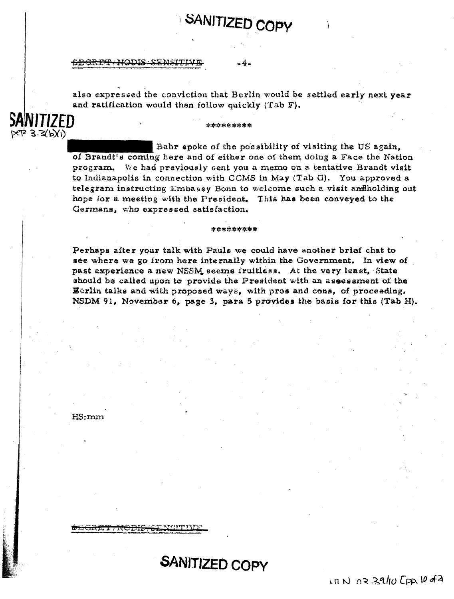#### **SECRET NODIS SENSITIVE**

also expressed the conviction that Berlin would be settled early next year and ratification would then follow quickly (Tab F).

**SANITIZED COPY** 

#### \*\*\*\*\*\*\*\*\*

Bahr spoke of the possibility of visiting the US again. of Brandt's coming here and of either one of them doing a Face the Nation program. We had previously sent you a memo on a tentative Brandt visit to Indianapolis in connection with CCMS in May (Tab G). You approved a telegram instructing Embassy Bonn to welcome such a visit and holding out hope for a meeting with the President. This has been conveyed to the Germans, who expressed satisfaction.

\*\*\*\*\*\*\*\*\*

Perhaps after your talk with Pauls we could have another brief chat to see where we go from here internally within the Government. In view of past experience a new NSSM seems fruitiess. At the very least, State should be called upon to provide the President with an assessment of the Werlin talks and with proposed ways, with pros and cons, of proceeding. NSDM 91, November 6, page 3, para 5 provides the basis for this (Tab H).

**SANITIZED COPY** 

 $1800023910$  Cpp. 10 of 2

 $HS:mm$ 

NITIZED

 $666$  3.3(b)(1)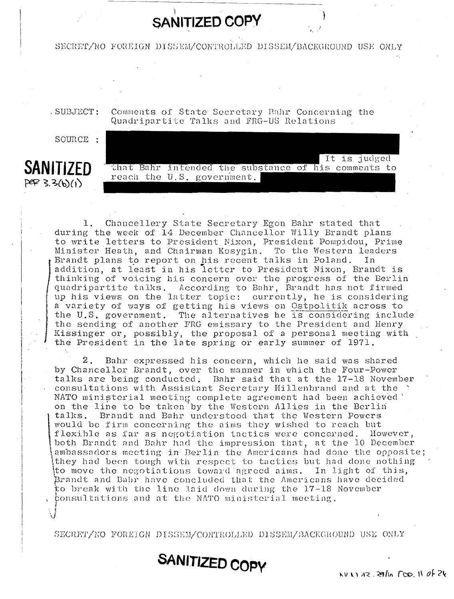# **SANITIZED COPY**

SECRET/NO FOREIGN DISSEM/CONTROLLED DISSEM/BACKGROUND USE ONLY

. SUBJECT:

Comments of State Secretary Bahr Concerning the Quadripartite Talks and FRG-US Relations

SOURCE :



It is judged that Bahr intended the substance of his comments to reach the U.S. government.

Chancellery State Secretary Egon Bahr stated that  $1$ . during the week of 14 December Chancellor Willy Brandt plans to write letters to President Nixon, President Pompidou, Prime Minister Heath, and Chairman Kosygin. To the Western leaders Brandt plans to report on his recent talks in Poland. In addition, at least in his letter to President Nixon, Brandt is thinking of voicing his concern over the progress of the Berlin quadripartite talks. According to Bahr, Brandt has not firmed up his views on the latter topic: currently, he is considering a variety of ways of getting his views on Ostpolitik across to the U.S. government. The alternatives he is considering include the sending of another FRG emissary to the President and Henry Kissinger or, possibly, the proposal of a personal meeting with the President in the late spring or early summer of 1971.

 $2$  . Bahr expressed his concern, which he said was shared by Chancellor Brandt, over the manner in which the Four-Power talks are being conducted. Bahr said that at the 17-18 November consultations with Assistant Secretary Hillenbrand and at the NATO ministerial meeting complete agreement had been achieved on the line to be taken by the Western Allies in the Berlin talks. Brandt and Bahr understood that the Western Powers would be firm concerning the aims they wished to reach but flexible as far as negotiation tactics were concerned. However, both Brandt and Bahr had the impression that, at the 10 December ambassadors meeting in Berlin the Americans had done the opposite; they had been tough with respect to tactics but had done nothing to move the negotiations toward agreed aims. In light of this, Brandt and Bahr have concluded that the Americans have decided to break with the line laid down during the 17-18 November consultations and at the NATO ministerial meeting.

SECRET/NO FOREIGN DISSEM/CONTROLLED DISSEM/BACKGROUND USE ONLY

SANITIZED COPY

 $N1132.29ln$   $T50.110f26$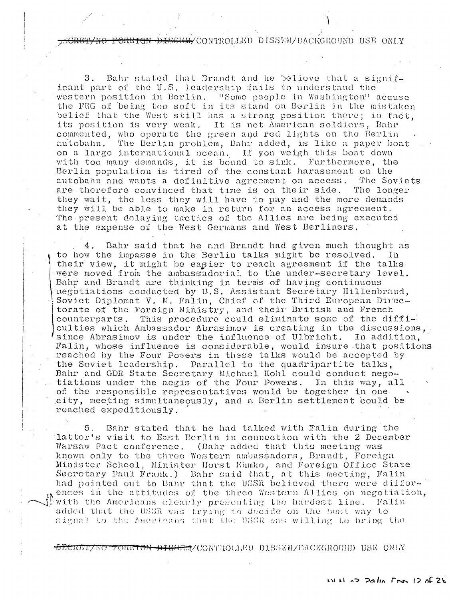<del>SEM/</del>CONTROLLED DISSEM/BACKGROUND USE ONLY

Bahr stated that Brandt and he believe that a signif-З. icant part of the U.S. leadership fails to understand the western position in Berlin. "Some people in Washington" accuse the FRG of being too soft in its stand on Berlin in the mistaken belief that the West still has a strong position there; in fact, its position is very weak. It is not American soldiers, Bahr commented, who operate the green and red lights on the Berlin autobahn. The Berlin problem, Bahr added, is like a paper boat on a large international ocean. If you weigh this boat down with too many demands, it is bound to sink. Furthermore, the Berlin population is tired of the constant harassment on the autobahn and wants a definitive agreement on access. The Soviets are therefore convinced that time is on their side. The longer they wait, the less they will have to pay and the more demands they will be able to make in return for an access agreement. The present delaying tactics of the Allies are being executed at the expense of the West Germans and West Berliners.

Bahr said that he and Brandt had given much thought as 4. to how the impasse in the Berlin talks might be resolved. In their view, it might be easier to reach agreement if the talks were moved from the ambassadorial to the under-secretary level. Bahr and Brandt are thinking in terms of having continuous negotiations conducted by U.S. Assistant Secretary Hillenbrand, Soviet Diplomat V. M. Falin. Chief of the Third European Directorate of the Foreign Ministry, and their British and French This procedure could eliminate some of the difficounterparts. culties which Ambassador Abrasimov is creating in the discussions, since Abrasimov is under the influence of Ulbricht. In addition, Falin, whose influence is considerable, would insure that positions reached by the Four Powers in these talks would be accepted by the Soviet leadership. Parallel to the quadripartite talks, Bahr and GDR State Secretary Michael Kohl could conduct negotiations under the aegis of the Four Powers. In this way, all of the responsible representatives would be together in one city, meeting simultaneously, and a Berlin settlement could be reached expeditiously.

Bahr stated that he had talked with Falin during the 5. latter's visit to East Berlin in connection with the 2 December Warsaw Pact conference. (Bahr added that this meeting was known only to the three Western ambassadors, Brandt, Foreign Minister Scheel, Minister Horst Ehmke, and Foreign Office State Secretary Paul Frank.) Bahr said that, at this meeting, Falin had pointed out to Bahr that the USSR believed there were differences in the attitudes of the three Western Allies on negotiation, with the Americans clearly presenting the hardest line. Falin added that the USSR was trying to decide on the best way to signal to the Americans that the USSR was willing to bring the

SECRET/HO FORETGN DISSEM/CONTROLLED DISSEM/BACKGROUD USE ONLY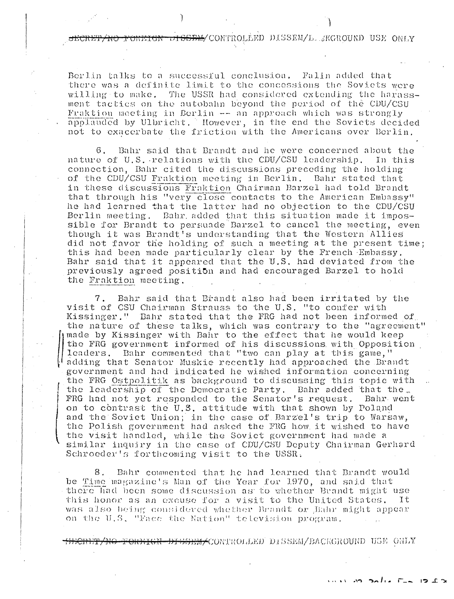<del>PONEIGN-14SSEM/</del>CONTROLLED DISSEM/L *I*KGROUND USE ONLY

Falin added that Berlin talks to a successful conclusion. there was a definite limit to the concessions the Soviets were willing to make. The USSR had considered extending the harassment tactics on the autobahn beyond the period of the CDU/CSU Fraktion meeting in Berlin -- an approach which was strongly applauded by Ulbricht. However, in the end the Soviets decided not to exacerbate the friction with the Americans over Berlin.

6. Bahr said that Brandt and he were concerned about the nature of U.S. relations with the CDU/CSU leadership. In this connection. Bahr cited the discussions preceding the holding of the CDU/CSU Fraktion meeting in Berlin. Bahr stated that in these discussions Fraktion Chairman Barzel had told Brandt that through his "very close contacts to the American Embassy" he had learned that the latter had no objection to the CDU/CSU Berlin meeting. Bahr added that this situation made it impossible for Brandt to persuade Barzel to cancel the meeting, even though it was Brandt's understanding that the Western Allies did not favor the holding of such a meeting at the present time; this had been made particularly clear by the French Embassy. Bahr said that it appeared that the U.S. had deviated from the previously agreed position and had encouraged Barzel to hold the Fraktion meeting.

 $7.$ Bahr said that Brandt also had been irritated by the visit of CSU Chairman Strauss to the U.S. "to confer with Kissinger." Bahr stated that the FRG had not been informed of the nature of these talks, which was contrary to the "agreement" made by Kissinger with Bahr to the effect that he would keep the FRG government informed of his discussions with Opposition leaders. Bahr commented that "two can play at this game." adding that Senator Muskie recently had approached the Brandt government and had indicated he wished information concerning the FRG Ostpolitik as background to discussing this topic with the leadership of the Democratic Party. Bahr added that the. FRG had not yet responded to the Senator's request. Bahr went on to contrast the U.S. attitude with that shown by Poland and the Soviet Union; in the case of Barzel's trip to Warsaw, the Polish government had asked the FRG how it wished to have the visit handled, while the Soviet government had made a similar inquiry in the case of CDU/CSU Deputy Chairman Gerhard Schroeder's forthcoming visit to the USSR.

8. Bahr commented that he had learned that Brandt would be Time magazine's Man of the Year for 1970, and said that there had been some discussion as to whether Brandt might use this honor as an excuse for a visit to the United States. Ιt was also being considered whether Brandt or Bahr might appear on the U.S. "Face the Nation" television program.

<del>910 FORFICH DISSEM/</del>CONTROLLED DISSEM/BACKGROUND USE ONLY

LOSS AN SALATER IN CA